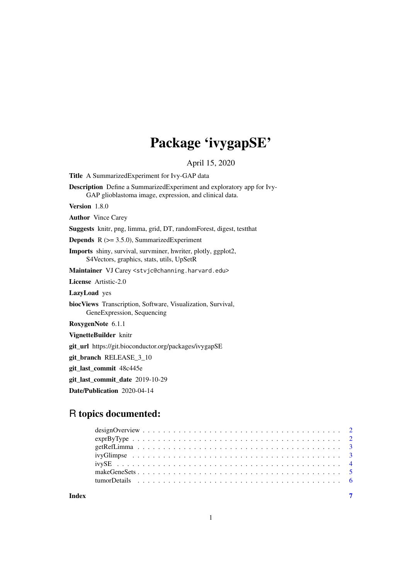# Package 'ivygapSE'

April 15, 2020

<span id="page-0-0"></span>Title A SummarizedExperiment for Ivy-GAP data Description Define a SummarizedExperiment and exploratory app for Ivy-GAP glioblastoma image, expression, and clinical data. Version 1.8.0 Author Vince Carey Suggests knitr, png, limma, grid, DT, randomForest, digest, testthat **Depends**  $R$  ( $>= 3.5.0$ ), SummarizedExperiment Imports shiny, survival, survminer, hwriter, plotly, ggplot2, S4Vectors, graphics, stats, utils, UpSetR Maintainer VJ Carey <stvjc@channing.harvard.edu> License Artistic-2.0 LazyLoad yes biocViews Transcription, Software, Visualization, Survival, GeneExpression, Sequencing RoxygenNote 6.1.1 VignetteBuilder knitr git\_url https://git.bioconductor.org/packages/ivygapSE git\_branch RELEASE\_3\_10 git\_last\_commit 48c445e git\_last\_commit\_date 2019-10-29 Date/Publication 2020-04-14

# R topics documented:

| $\exp\left(\frac{1}{2}\right)$ $\exp\left(\frac{1}{2}\right)$ $\exp\left(\frac{1}{2}\right)$ |  |
|----------------------------------------------------------------------------------------------|--|
|                                                                                              |  |
|                                                                                              |  |
|                                                                                              |  |
|                                                                                              |  |
|                                                                                              |  |
|                                                                                              |  |

**Index** [7](#page-6-0)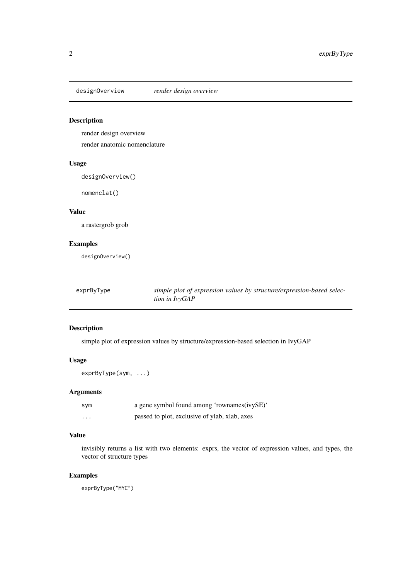<span id="page-1-0"></span>designOverview *render design overview*

# Description

render design overview render anatomic nomenclature

#### Usage

designOverview()

nomenclat()

#### Value

a rastergrob grob

#### Examples

designOverview()

| exprByType | simple plot of expression values by structure/expression-based selec- |
|------------|-----------------------------------------------------------------------|
|            | tion in IvyGAP                                                        |

# Description

simple plot of expression values by structure/expression-based selection in IvyGAP

# Usage

```
exprByType(sym, ...)
```
# Arguments

| sym      | a gene symbol found among 'rownames(ivySE)'   |
|----------|-----------------------------------------------|
| $\cdots$ | passed to plot, exclusive of ylab, xlab, axes |

#### Value

invisibly returns a list with two elements: exprs, the vector of expression values, and types, the vector of structure types

#### Examples

exprByType("MYC")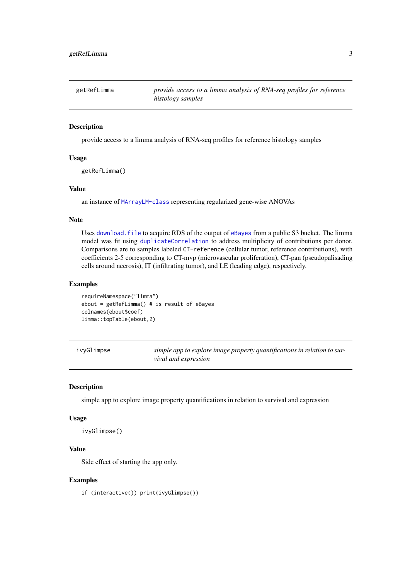<span id="page-2-0"></span>

| getRefLimma | provide access to a limma analysis of RNA-seq profiles for reference |
|-------------|----------------------------------------------------------------------|
|             | histology samples                                                    |

#### Description

provide access to a limma analysis of RNA-seq profiles for reference histology samples

#### Usage

```
getRefLimma()
```
#### Value

an instance of [MArrayLM-class](#page-0-0) representing regularized gene-wise ANOVAs

#### Note

Uses [download.file](#page-0-0) to acquire RDS of the output of [eBayes](#page-0-0) from a public S3 bucket. The limma model was fit using [duplicateCorrelation](#page-0-0) to address multiplicity of contributions per donor. Comparisons are to samples labeled CT-reference (cellular tumor, reference contributions), with coefficients 2-5 corresponding to CT-mvp (microvascular proliferation), CT-pan (pseudopalisading cells around necrosis), IT (infiltrating tumor), and LE (leading edge), respectively.

#### Examples

```
requireNamespace("limma")
ebout = getRefLimma() # is result of eBayes
colnames(ebout$coef)
limma::topTable(ebout,2)
```

|  | lvyGlimpse |
|--|------------|
|--|------------|

ivyGlimpse *simple app to explore image property quantifications in relation to survival and expression*

#### Description

simple app to explore image property quantifications in relation to survival and expression

#### Usage

ivyGlimpse()

# Value

Side effect of starting the app only.

#### Examples

if (interactive()) print(ivyGlimpse())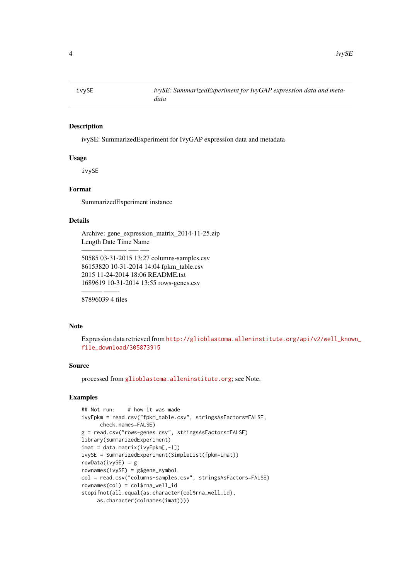<span id="page-3-0"></span>

#### Description

ivySE: SummarizedExperiment for IvyGAP expression data and metadata

#### Usage

ivySE

#### Format

SummarizedExperiment instance

#### Details

Archive: gene\_expression\_matrix\_2014-11-25.zip Length Date Time Name

50585 03-31-2015 13:27 columns-samples.csv 86153820 10-31-2014 14:04 fpkm\_table.csv 2015 11-24-2014 18:06 README.txt 1689619 10-31-2014 13:55 rows-genes.csv

——— ——- 87896039 4 files

——— ———- —– —-

#### Note

Expression data retrieved from [http://glioblastoma.alleninstitute.org/api/v2/well\\_know](http://glioblastoma.alleninstitute.org/api/v2/well_known_file_download/305873915)n\_ [file\\_download/305873915](http://glioblastoma.alleninstitute.org/api/v2/well_known_file_download/305873915)

# Source

processed from <glioblastoma.alleninstitute.org>; see Note.

## Examples

```
## Not run: # how it was made
ivyFpkm = read.csv("fpkm_table.csv", stringsAsFactors=FALSE,
      check.names=FALSE)
g = read.csv("rows-genes.csv", stringsAsFactors=FALSE)
library(SummarizedExperiment)
imat = data.matrix(ivyFpkm[,-1])
ivySE = SummarizedExperiment(SimpleList(fpkm=imat))
rowData(ivySE) = g
rownames(ivySE) = g$gene_symbol
col = read.csv("columns-samples.csv", stringsAsFactors=FALSE)
rownames(col) = col$rna_well_id
stopifnot(all.equal(as.character(col$rna_well_id),
     as.character(colnames(imat))))
```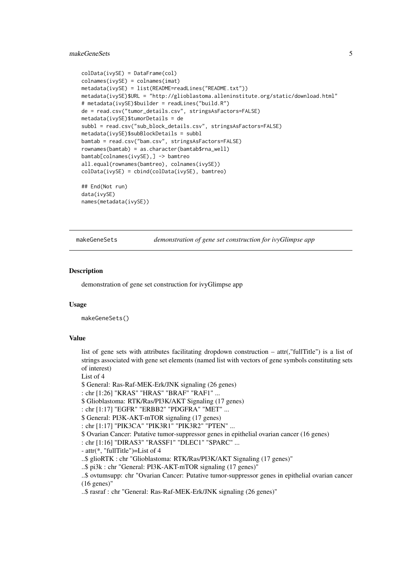#### <span id="page-4-0"></span>makeGeneSets 5

```
colData(ivySE) = DataFrame(col)
colnames(ivySE) = colnames(imat)
metadata(ivySE) = list(README=readLines("README.txt"))
metadata(ivySE)$URL = "http://glioblastoma.alleninstitute.org/static/download.html"
# metadata(ivySE)$builder = readLines("build.R")
de = read.csv("tumor_details.csv", stringsAsFactors=FALSE)
metadata(ivySE)$tumorDetails = de
subbl = read.csv("sub_block_details.csv", stringsAsFactors=FALSE)
metadata(ivySE)$subBlockDetails = subbl
bamtab = read.csv("bam.csv", stringsAsFactors=FALSE)
rownames(bamtab) = as.character(bamtab$rna_well)
bamtab[colnames(ivySE),] -> bamtreo
all.equal(rownames(bamtreo), colnames(ivySE))
colData(ivySE) = cbind(colData(ivySE), bamtreo)
## End(Not run)
data(ivySE)
names(metadata(ivySE))
```
makeGeneSets *demonstration of gene set construction for ivyGlimpse app*

#### Description

demonstration of gene set construction for ivyGlimpse app

#### Usage

makeGeneSets()

#### Value

list of gene sets with attributes facilitating dropdown construction – attr(,"fullTitle") is a list of strings associated with gene set elements (named list with vectors of gene symbols constituting sets of interest)

List of 4

\$ General: Ras-Raf-MEK-Erk/JNK signaling (26 genes)

```
: chr [1:26] "KRAS" "HRAS" "BRAF" "RAF1" ...
```
\$ Glioblastoma: RTK/Ras/PI3K/AKT Signaling (17 genes)

: chr [1:17] "EGFR" "ERBB2" "PDGFRA" "MET" ...

- \$ General: PI3K-AKT-mTOR signaling (17 genes)
- : chr [1:17] "PIK3CA" "PIK3R1" "PIK3R2" "PTEN" ...

\$ Ovarian Cancer: Putative tumor-suppressor genes in epithelial ovarian cancer (16 genes)

: chr [1:16] "DIRAS3" "RASSF1" "DLEC1" "SPARC" ...

- attr(\*, "fullTitle")=List of 4

..\$ glioRTK : chr "Glioblastoma: RTK/Ras/PI3K/AKT Signaling (17 genes)"

..\$ pi3k : chr "General: PI3K-AKT-mTOR signaling (17 genes)"

..\$ ovtumsupp: chr "Ovarian Cancer: Putative tumor-suppressor genes in epithelial ovarian cancer (16 genes)"

..\$ rasraf : chr "General: Ras-Raf-MEK-Erk/JNK signaling (26 genes)"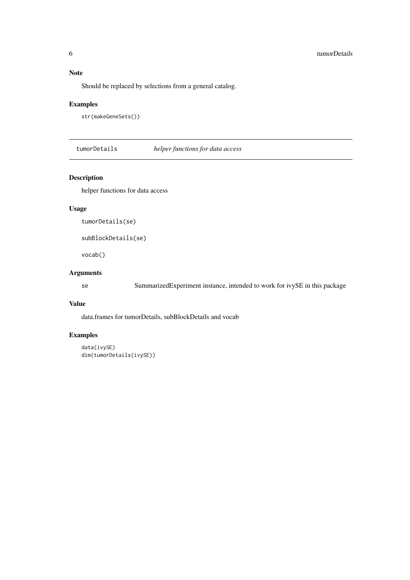#### Note

Should be replaced by selections from a general catalog.

#### Examples

```
str(makeGeneSets())
```
tumorDetails *helper functions for data access*

# Description

helper functions for data access

# Usage

```
tumorDetails(se)
```

```
subBlockDetails(se)
```
vocab()

# Arguments

se SummarizedExperiment instance, intended to work for ivySE in this package

#### Value

data.frames for tumorDetails, subBlockDetails and vocab

# Examples

```
data(ivySE)
dim(tumorDetails(ivySE))
```
<span id="page-5-0"></span>